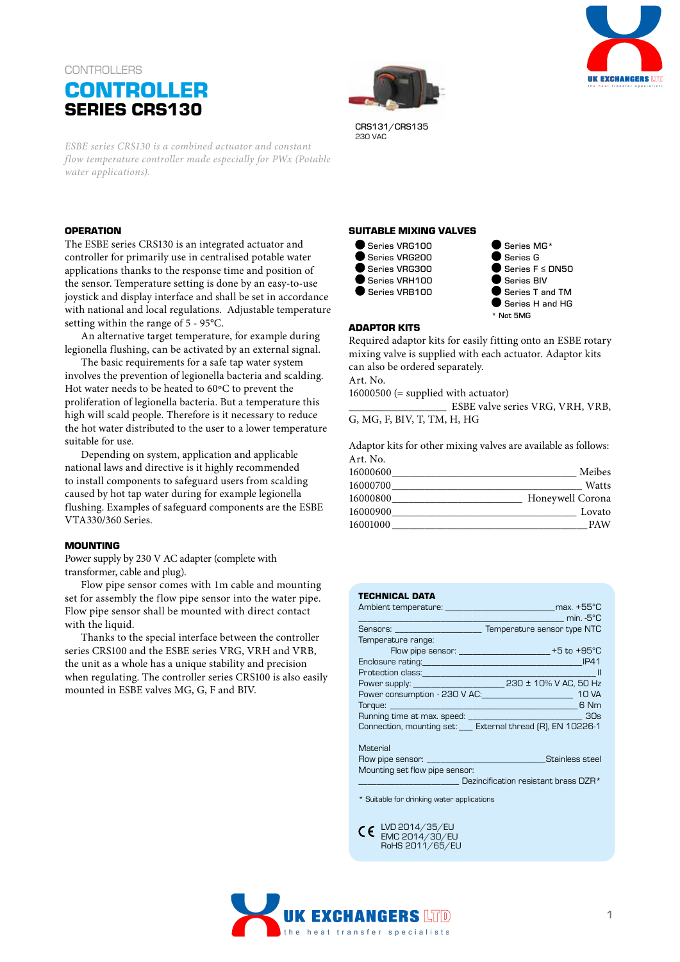# **CONTROLLERS CONTROLLER SERIES CRS130**

*ESBE series CRS130 is a combined actuator and constant flow temperature controller made especially for PWx (Potable water applications).*

#### **OPERATION**

The ESBE series CRS130 is an integrated actuator and controller for primarily use in centralised potable water applications thanks to the response time and position of the sensor. Temperature setting is done by an easy-to-use joystick and display interface and shall be set in accordance with national and local regulations. Adjustable temperature setting within the range of 5 - 95°C.

An alternative target temperature, for example during legionella flushing, can be activated by an external signal.

The basic requirements for a safe tap water system involves the prevention of legionella bacteria and scalding. Hot water needs to be heated to 60ºC to prevent the proliferation of legionella bacteria. But a temperature this high will scald people. Therefore is it necessary to reduce the hot water distributed to the user to a lower temperature suitable for use.

Depending on system, application and applicable national laws and directive is it highly recommended to install components to safeguard users from scalding caused by hot tap water during for example legionella flushing. Examples of safeguard components are the ESBE VTA330/360 Series.

#### **MOUNTING**

Power supply by 230 V AC adapter (complete with transformer, cable and plug).

Flow pipe sensor comes with 1m cable and mounting set for assembly the flow pipe sensor into the water pipe. Flow pipe sensor shall be mounted with direct contact with the liquid.

Thanks to the special interface between the controller series CRS100 and the ESBE series VRG, VRH and VRB, the unit as a whole has a unique stability and precision when regulating. The controller series CRS100 is also easily mounted in ESBE valves MG, G, F and BIV.





CRS131/CRS135 230 VAC

### **SUITABLE MIXING VALVES**



● Series MG\* Series G Series F ≤ DN50 Series BIV Series T and TM Series H and HG \* Not 5MG

#### **ADAPTOR KITS**

Required adaptor kits for easily fitting onto an ESBE rotary mixing valve is supplied with each actuator. Adaptor kits can also be ordered separately. Art. No.  $16000500$  (= supplied with actuator)

\_\_\_\_\_\_\_\_\_\_\_\_\_\_\_\_\_\_ ESBE valve series VRG, VRH, VRB, G, MG, F, BIV, T, TM, H, HG

Adaptor kits for other mixing valves are available as follows: Art. No.

| Meibes           | 16000600 |
|------------------|----------|
| Watts            | 16000700 |
| Honeywell Corona | 16000800 |
| Lovato           | 16000900 |
| <b>PAW</b>       | 16001000 |
|                  |          |

| <b>TECHNICAL DATA</b>                                                                                                                                                                                                          |                                             |
|--------------------------------------------------------------------------------------------------------------------------------------------------------------------------------------------------------------------------------|---------------------------------------------|
| Ambient temperature: which is a max. +55°C                                                                                                                                                                                     |                                             |
|                                                                                                                                                                                                                                | min. -5°C                                   |
| Sensors: Temperature sensor type NTC                                                                                                                                                                                           |                                             |
| Temperature range:                                                                                                                                                                                                             |                                             |
|                                                                                                                                                                                                                                | Flow pipe sensor: $\frac{1}{2}$ +5 to +95°C |
| Enclosure rating: The Contract of the Contract of the Contract of the Contract of the Contract of the Contract of the Contract of the Contract of the Contract of the Contract of the Contract of the Contract of the Contract |                                             |
|                                                                                                                                                                                                                                | $\sim$ 11                                   |
|                                                                                                                                                                                                                                |                                             |
| Power consumption - 230 V AC: ___________________________ 10 VA                                                                                                                                                                |                                             |
|                                                                                                                                                                                                                                |                                             |
|                                                                                                                                                                                                                                |                                             |
| Connection, mounting set: ___ External thread (R), EN 10226-1                                                                                                                                                                  |                                             |
|                                                                                                                                                                                                                                |                                             |
| Material                                                                                                                                                                                                                       |                                             |
|                                                                                                                                                                                                                                | Stainless steel                             |

Mounting set flow pipe sensor: Dezincification resistant brass DZR\*

\* Suitable for drinking water applications